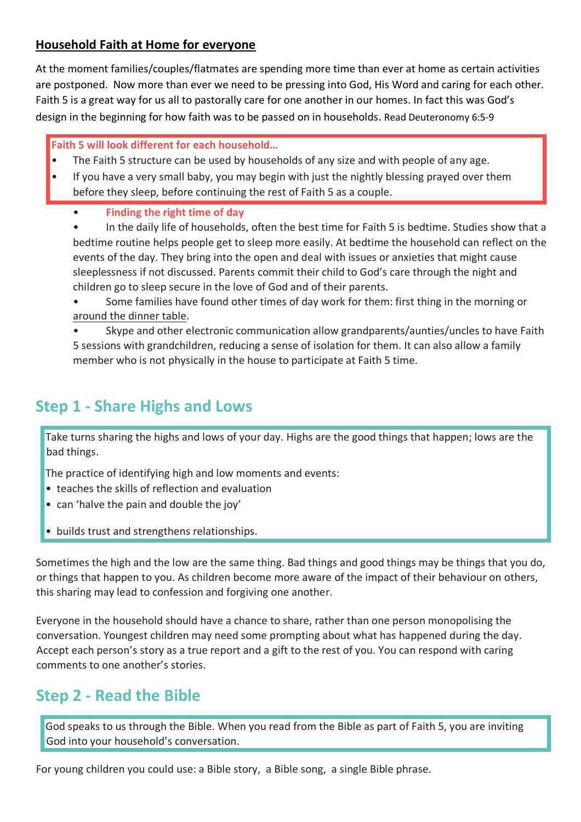### **Household Faith at Home for everyone**

At the moment families/couples/flatmates are spending more time than ever at home as certain activities are postponed. Now more than ever we need to be pressing into God, His Word and caring for each other. Faith 5 is a great way for us all to pastorally care for one another in our homes. In fact this was God's design in the beginning for how faith was to be passed on in households. Read Deuteronomy 6:5-9

**Faith 5 will look different for each household…**

- The Faith 5 structure can be used by households of any size and with people of any age.
- If you have a very small baby, you may begin with just the nightly blessing prayed over them before they sleep, before continuing the rest of Faith 5 as a couple.
	- **Finding the right time of day**

• In the daily life of households, often the best time for Faith 5 is bedtime. Studies show that a bedtime routine helps people get to sleep more easily. At bedtime the household can reflect on the events of the day. They bring into the open and deal with issues or anxieties that might cause sleeplessness if not discussed. Parents commit their child to God's care through the night and children go to sleep secure in the love of God and of their parents.

• Some families have found other times of day work for them: first thing in the morning or around the dinner table.

• Skype and other electronic communication allow grandparents/aunties/uncles to have Faith 5 sessions with grandchildren, reducing a sense of isolation for them. It can also allow a family member who is not physically in the house to participate at Faith 5 time.

# **Step 1 - Share Highs and Lows**

Take turns sharing the highs and lows of your day. Highs are the good things that happen; lows are the bad things.

The practice of identifying high and low moments and events:

- teaches the skills of reflection and evaluation
- can 'halve the pain and double the joy'
- builds trust and strengthens relationships.

Sometimes the high and the low are the same thing. Bad things and good things may be things that you do, or things that happen to you. As children become more aware of the impact of their behaviour on others, this sharing may lead to confession and forgiving one another.

Everyone in the household should have a chance to share, rather than one person monopolising the conversation. Youngest children may need some prompting about what has happened during the day. Accept each person's story as a true report and a gift to the rest of you. You can respond with caring comments to one another's stories.

# **Step 2 - Read the Bible**

God speaks to us through the Bible. When you read from the Bible as part of Faith 5, you are inviting God into your household's conversation.

For young children you could use: a Bible story, a Bible song, a single Bible phrase.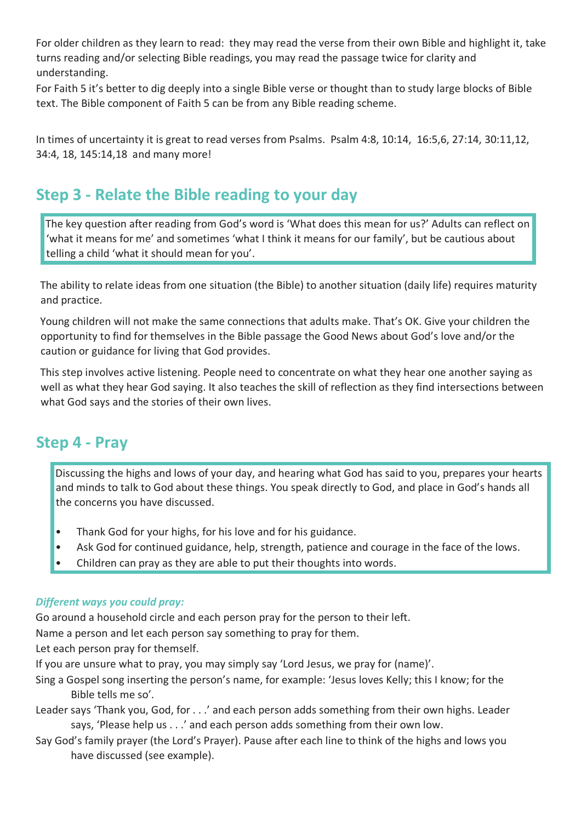For older children as they learn to read: they may read the verse from their own Bible and highlight it, take turns reading and/or selecting Bible readings, you may read the passage twice for clarity and understanding.

For Faith 5 it's better to dig deeply into a single Bible verse or thought than to study large blocks of Bible text. The Bible component of Faith 5 can be from any Bible reading scheme.

In times of uncertainty it is great to read verses from Psalms. Psalm 4:8, 10:14, 16:5,6, 27:14, 30:11,12, 34:4, 18, 145:14,18 and many more!

# **Step 3 - Relate the Bible reading to your day**

The key question after reading from God's word is 'What does this mean for us?' Adults can reflect on 'what it means for me' and sometimes 'what I think it means for our family', but be cautious about telling a child 'what it should mean for you'.

The ability to relate ideas from one situation (the Bible) to another situation (daily life) requires maturity and practice.

Young children will not make the same connections that adults make. That's OK. Give your children the opportunity to find for themselves in the Bible passage the Good News about God's love and/or the caution or guidance for living that God provides.

This step involves active listening. People need to concentrate on what they hear one another saying as well as what they hear God saying. It also teaches the skill of reflection as they find intersections between what God says and the stories of their own lives.

## **Step 4 - Pray**

Discussing the highs and lows of your day, and hearing what God has said to you, prepares your hearts and minds to talk to God about these things. You speak directly to God, and place in God's hands all the concerns you have discussed.

- Thank God for your highs, for his love and for his guidance.
- Ask God for continued guidance, help, strength, patience and courage in the face of the lows.
- Children can pray as they are able to put their thoughts into words.

#### *Different ways you could pray:*

Go around a household circle and each person pray for the person to their left.

Name a person and let each person say something to pray for them.

Let each person pray for themself.

If you are unsure what to pray, you may simply say 'Lord Jesus, we pray for (name)'.

- Sing a Gospel song inserting the person's name, for example: 'Jesus loves Kelly; this I know; for the Bible tells me so'.
- Leader says 'Thank you, God, for . . .' and each person adds something from their own highs. Leader says, 'Please help us . . .' and each person adds something from their own low.
- Say God's family prayer (the Lord's Prayer). Pause after each line to think of the highs and lows you have discussed (see example).